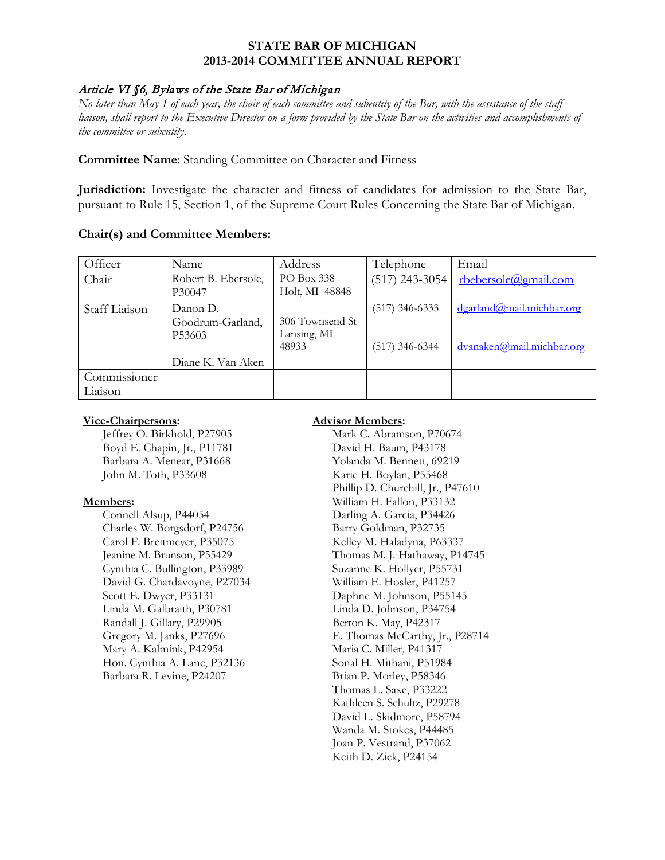### **STATE BAR OF MICHIGAN 2013-2014 COMMITTEE ANNUAL REPORT**

## Article VI §6, Bylaws of the State Bar of Michigan

*No later than May 1 of each year, the chair of each committee and subentity of the Bar, with the assistance of the staff liaison, shall report to the Executive Director on a form provided by the State Bar on the activities and accomplishments of the committee or subentity.*

**Committee Name**: Standing Committee on Character and Fitness

**Jurisdiction:** Investigate the character and fitness of candidates for admission to the State Bar, pursuant to Rule 15, Section 1, of the Supreme Court Rules Concerning the State Bar of Michigan.

### **Chair(s) and Committee Members:**

| Officer       | Name                | Address         | Telephone        | Email                     |
|---------------|---------------------|-----------------|------------------|---------------------------|
| Chair         | Robert B. Ebersole, | PO Box 338      | $(517)$ 243-3054 | rbebersole@gmail.com      |
|               | P30047              | Holt, MI 48848  |                  |                           |
| Staff Liaison | Danon D.            |                 | $(517)$ 346-6333 | dgarland@mail.michbar.org |
|               | Goodrum-Garland,    | 306 Townsend St |                  |                           |
|               | P <sub>53603</sub>  | Lansing, MI     |                  |                           |
|               |                     | 48933           | $(517)$ 346-6344 | dvanaken@mail.michbar.org |
|               | Diane K. Van Aken   |                 |                  |                           |
| Commissioner  |                     |                 |                  |                           |
| Liaison       |                     |                 |                  |                           |

#### **Vice-Chairpersons:**

Jeffrey O. Birkhold, P27905 Boyd E. Chapin, Jr., P11781 Barbara A. Menear, P31668 John M. Toth, P33608

#### **Members:**

Connell Alsup, P44054 Charles W. Borgsdorf, P24756 Carol F. Breitmeyer, P35075 Jeanine M. Brunson, P55429 Cynthia C. Bullington, P33989 David G. Chardavoyne, P27034 Scott E. Dwyer, P33131 Linda M. Galbraith, P30781 Randall J. Gillary, P29905 Gregory M. Janks, P27696 Mary A. Kalmink, P42954 Hon. Cynthia A. Lane, P32136 Barbara R. Levine, P24207

### **Advisor Members:**

Mark C. Abramson, P70674 David H. Baum, P43178 Yolanda M. Bennett, 69219 Karie H. Boylan, P55468 Phillip D. Churchill, Jr., P47610 William H. Fallon, P33132 Darling A. Garcia, P34426 Barry Goldman, P32735 Kelley M. Haladyna, P63337 Thomas M. J. Hathaway, P14745 Suzanne K. Hollyer, P55731 William E. Hosler, P41257 Daphne M. Johnson, P55145 Linda D. Johnson, P34754 Berton K. May, P42317 E. Thomas McCarthy, Jr., P28714 Maria C. Miller, P41317 Sonal H. Mithani, P51984 Brian P. Morley, P58346 Thomas L. Saxe, P33222 Kathleen S. Schultz, P29278 David L. Skidmore, P58794 Wanda M. Stokes, P44485 Joan P. Vestrand, P37062 Keith D. Zick, P24154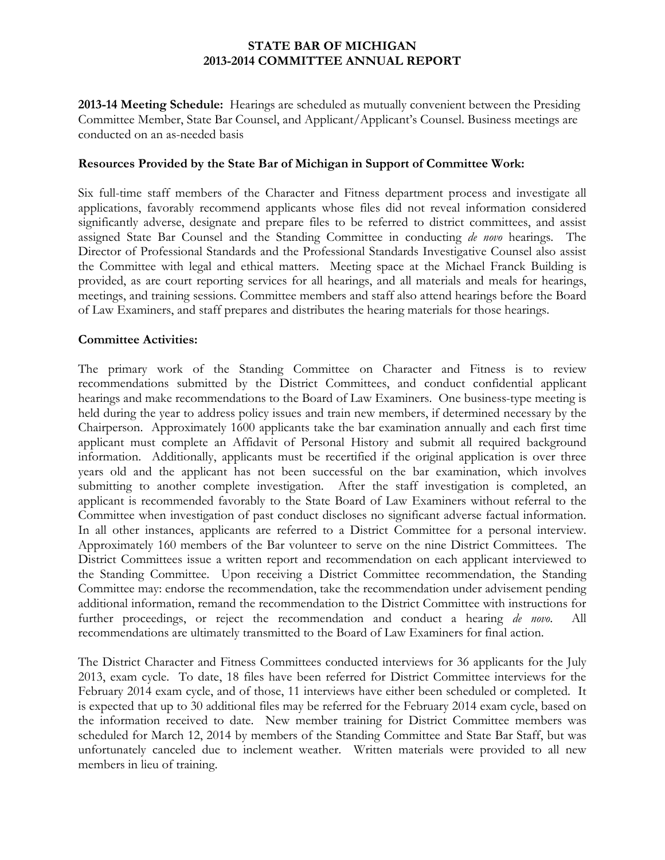## **STATE BAR OF MICHIGAN 2013-2014 COMMITTEE ANNUAL REPORT**

**2013-14 Meeting Schedule:** Hearings are scheduled as mutually convenient between the Presiding Committee Member, State Bar Counsel, and Applicant/Applicant's Counsel. Business meetings are conducted on an as-needed basis

### **Resources Provided by the State Bar of Michigan in Support of Committee Work:**

Six full-time staff members of the Character and Fitness department process and investigate all applications, favorably recommend applicants whose files did not reveal information considered significantly adverse, designate and prepare files to be referred to district committees, and assist assigned State Bar Counsel and the Standing Committee in conducting *de novo* hearings. The Director of Professional Standards and the Professional Standards Investigative Counsel also assist the Committee with legal and ethical matters. Meeting space at the Michael Franck Building is provided, as are court reporting services for all hearings, and all materials and meals for hearings, meetings, and training sessions. Committee members and staff also attend hearings before the Board of Law Examiners, and staff prepares and distributes the hearing materials for those hearings.

### **Committee Activities:**

The primary work of the Standing Committee on Character and Fitness is to review recommendations submitted by the District Committees, and conduct confidential applicant hearings and make recommendations to the Board of Law Examiners. One business-type meeting is held during the year to address policy issues and train new members, if determined necessary by the Chairperson. Approximately 1600 applicants take the bar examination annually and each first time applicant must complete an Affidavit of Personal History and submit all required background information. Additionally, applicants must be recertified if the original application is over three years old and the applicant has not been successful on the bar examination, which involves submitting to another complete investigation. After the staff investigation is completed, an applicant is recommended favorably to the State Board of Law Examiners without referral to the Committee when investigation of past conduct discloses no significant adverse factual information. In all other instances, applicants are referred to a District Committee for a personal interview. Approximately 160 members of the Bar volunteer to serve on the nine District Committees. The District Committees issue a written report and recommendation on each applicant interviewed to the Standing Committee. Upon receiving a District Committee recommendation, the Standing Committee may: endorse the recommendation, take the recommendation under advisement pending additional information, remand the recommendation to the District Committee with instructions for further proceedings, or reject the recommendation and conduct a hearing *de novo*. All recommendations are ultimately transmitted to the Board of Law Examiners for final action.

The District Character and Fitness Committees conducted interviews for 36 applicants for the July 2013, exam cycle. To date, 18 files have been referred for District Committee interviews for the February 2014 exam cycle, and of those, 11 interviews have either been scheduled or completed. It is expected that up to 30 additional files may be referred for the February 2014 exam cycle, based on the information received to date. New member training for District Committee members was scheduled for March 12, 2014 by members of the Standing Committee and State Bar Staff, but was unfortunately canceled due to inclement weather. Written materials were provided to all new members in lieu of training.